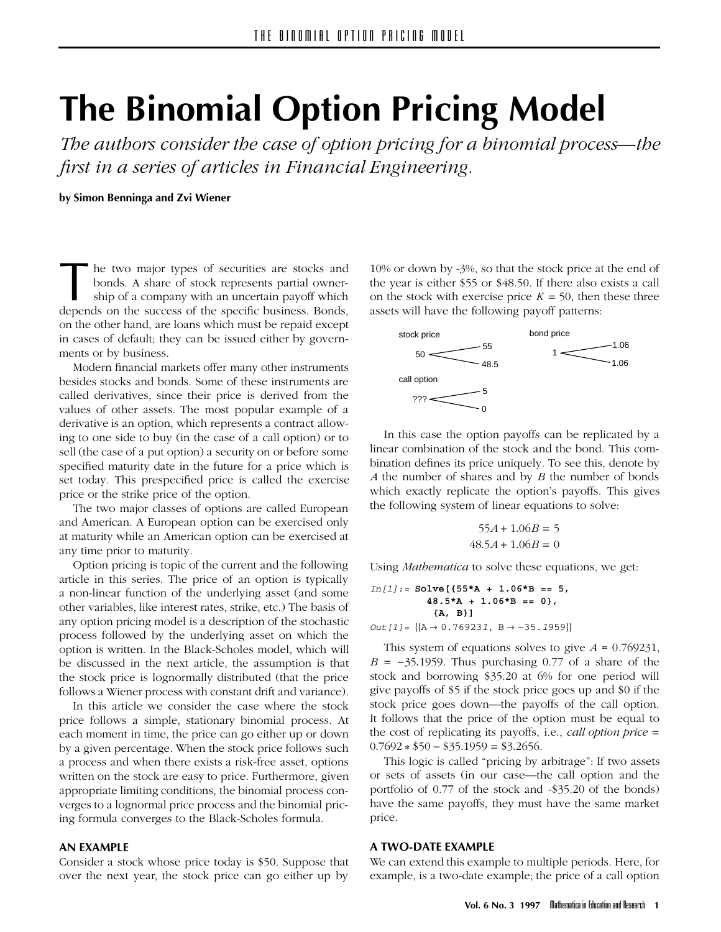# **The Binomial Option Pricing Model**

*The authors consider the case of option pricing for a binomial process—the first in a series of articles in Financial Engineering.*

**by Simon Benninga and Zvi Wiener**

The two major types of securities are stocks and bonds. A share of stock represents partial owner-<br>ship of a company with an uncertain payoff which<br>depends on the success of the specific business. Bonds. bonds. A share of stock represents partial ownership of a company with an uncertain payoff which depends on the success of the specific business. Bonds, on the other hand, are loans which must be repaid except in cases of default; they can be issued either by governments or by business.

Modern financial markets offer many other instruments besides stocks and bonds. Some of these instruments are called derivatives, since their price is derived from the values of other assets. The most popular example of a derivative is an option, which represents a contract allowing to one side to buy (in the case of a call option) or to sell (the case of a put option) a security on or before some specified maturity date in the future for a price which is set today. This prespecified price is called the exercise price or the strike price of the option.

The two major classes of options are called European and American. A European option can be exercised only at maturity while an American option can be exercised at any time prior to maturity.

Option pricing is topic of the current and the following article in this series. The price of an option is typically a non-linear function of the underlying asset (and some other variables, like interest rates, strike, etc.) The basis of any option pricing model is a description of the stochastic process followed by the underlying asset on which the option is written. In the Black-Scholes model, which will be discussed in the next article, the assumption is that the stock price is lognormally distributed (that the price follows a Wiener process with constant drift and variance).

In this article we consider the case where the stock price follows a simple, stationary binomial process. At each moment in time, the price can go either up or down by a given percentage. When the stock price follows such a process and when there exists a risk-free asset, options written on the stock are easy to price. Furthermore, given appropriate limiting conditions, the binomial process converges to a lognormal price process and the binomial pricing formula converges to the Black-Scholes formula.

#### **AN EXAMPLE**

Consider a stock whose price today is \$50. Suppose that over the next year, the stock price can go either up by

10% or down by -3%, so that the stock price at the end of the year is either \$55 or \$48.50. If there also exists a call on the stock with exercise price  $K = 50$ , then these three assets will have the following payoff patterns:



In this case the option payoffs can be replicated by a linear combination of the stock and the bond. This combination defines its price uniquely. To see this, denote by *A* the number of shares and by *B* the number of bonds which exactly replicate the option's payoffs. This gives the following system of linear equations to solve:

$$
55A + 1.06B = 5
$$

$$
48.5A + 1.06B = 0
$$

Using *Mathematica* to solve these equations, we get:

$$
In[1]:= \text{Solve}[\{55*A + 1.06*B == 5,48.5*A + 1.06*B == 0\},{A, B}]
$$
  
Out[1]= { $[A \rightarrow 0.769231, B \rightarrow -35.1959]$ }

This system of equations solves to give *A* = 0.769231,  $B = -35.1959$ . Thus purchasing 0.77 of a share of the stock and borrowing \$35.20 at 6% for one period will give payoffs of \$5 if the stock price goes up and \$0 if the stock price goes down—the payoffs of the call option. It follows that the price of the option must be equal to the cost of replicating its payoffs, i.e., *call option price* ±  $0.7692 * $50 - $35.1959 = $3.2656$ .

This logic is called "pricing by arbitrage": If two assets or sets of assets (in our case—the call option and the portfolio of 0.77 of the stock and -\$35.20 of the bonds) have the same payoffs, they must have the same market price.

## **A TWO-DATE EXAMPLE**

We can extend this example to multiple periods. Here, for example, is a two-date example; the price of a call option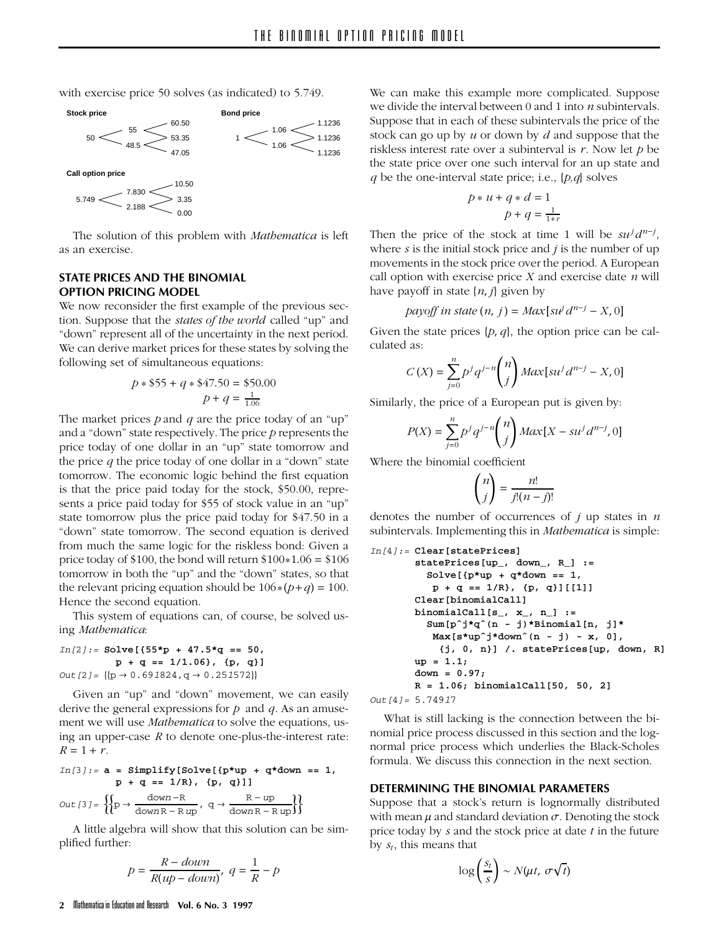with exercise price 50 solves (as indicated) to 5.749.



The solution of this problem with *Mathematica* is left as an exercise.

# **STATE PRICES AND THE BINOMIAL OPTION PRICING MODEL**

We now reconsider the first example of the previous section. Suppose that the *states of the world* called "up" and "down" represent all of the uncertainty in the next period. We can derive market prices for these states by solving the following set of simultaneous equations:

$$
p * \$55 + q * \$47.50 = \$50.00
$$

$$
p + q = \frac{1}{1.06}
$$

The market prices *p* and *q* are the price today of an "up" and a "down" state respectively. The price *p* represents the price today of one dollar in an "up" state tomorrow and the price *q* the price today of one dollar in a "down" state tomorrow. The economic logic behind the first equation is that the price paid today for the stock, \$50.00, represents a price paid today for \$55 of stock value in an "up" state tomorrow plus the price paid today for \$47.50 in a "down" state tomorrow. The second equation is derived from much the same logic for the riskless bond: Given a price today of \$100, the bond will return  $$100*1.06 = $106$ tomorrow in both the "up" and the "down" states, so that the relevant pricing equation should be  $106*(p+q) = 100$ . Hence the second equation.

This system of equations can, of course, be solved using *Mathematica*:

*In[2]:=* **Solve[{55\*p + 47.5\*q == 50, p + q == 1/1.06}, {p, q}]**  $Out[2] = \{ {p \rightarrow 0.691824, q \rightarrow 0.251572} }$ 

Given an "up" and "down" movement, we can easily derive the general expressions for *p* and *q*. As an amusement we will use *Mathematica* to solve the equations, using an upper-case *R* to denote one-plus-the-interest rate:  $R = 1 + r$ .

$$
In[3]:=\mathbf{a} = Simplify[Solve[\{p*up + q*down == 1, p + q = 1/n\}, \{p, q\}]]
$$
  
Out[3]:=\n
$$
\left\{\n\begin{matrix}\n\frac{down - R}{P} & \frac{R - up}{downR - hyp} \\
\frac{down - R}{downR - hyp} & \frac{R - up}{downR - hyp}\n\end{matrix}\n\right\}
$$

A little algebra will show that this solution can be simplified further:

$$
p = \frac{R - down}{R(up - down)}, q = \frac{1}{R} - p
$$

We can make this example more complicated. Suppose we divide the interval between 0 and 1 into *n* subintervals. Suppose that in each of these subintervals the price of the stock can go up by *u* or down by *d* and suppose that the riskless interest rate over a subinterval is *r*. Now let *p* be the state price over one such interval for an up state and *q* be the one-interval state price; i.e., {*p,q*} solves

$$
p * u + q * d = 1
$$

$$
p + q = \frac{1}{1+r}
$$

Then the price of the stock at time 1 will be  $su^j d^{n-j}$ , where *s* is the initial stock price and *j* is the number of up movements in the stock price over the period. A European call option with exercise price *X* and exercise date *n* will have payoff in state  $\{n, j\}$  given by

$$
payoff \text{ in state } (n, j) = \text{Max}[su^j d^{n-j} - X, 0]
$$

Given the state prices  $\{p, q\}$ , the option price can be calculated as:

$$
C(X) = \sum_{j=0}^{n} p^j q^{j-n} {n \choose j} Max[su^j d^{n-j} - X, 0]
$$

Similarly, the price of a European put is given by:

$$
P(X) = \sum_{j=0}^{n} p^j q^{j-n} {n \choose j} Max[X - su^j d^{n-j}, 0]
$$

Where the binomial coefficient

$$
\binom{n}{j} = \frac{n!}{j!(n-j)!}
$$

denotes the number of occurrences of *j* up states in *n* subintervals. Implementing this in *Mathematica* is simple:

```
In[4]:= Clear[statePrices]
       statePrices[up_, down_, R_] :=
         Solve[{p*up + q*down == 1,
          p + q == 1/R}, {p, q}][[1]]
       Clear[binomialCall]
       binomialCall[s_, x_, n_] :=
         Sum[pˆj*qˆ(n - j)*Binomial[n, j]*
          Max[s*upˆj*downˆ(n - j) - x, 0],
           {j, 0, n}] /. statePrices[up, down, R]
       up = 1.1;
       down = 0.97;
       R = 1.06; binomialCall[50, 50, 2]
```
*Out[4]= 5.74917*

What is still lacking is the connection between the binomial price process discussed in this section and the lognormal price process which underlies the Black-Scholes formula. We discuss this connection in the next section.

#### **DETERMINING THE BINOMIAL PARAMETERS**

Suppose that a stock's return is lognormally distributed with mean  $\mu$  and standard deviation  $\sigma$ . Denoting the stock price today by *s* and the stock price at date *t* in the future by  $s_t$ , this means that

$$
\log\left(\frac{s_t}{s}\right) \sim N(\mu t,\; \sigma\sqrt{t})
$$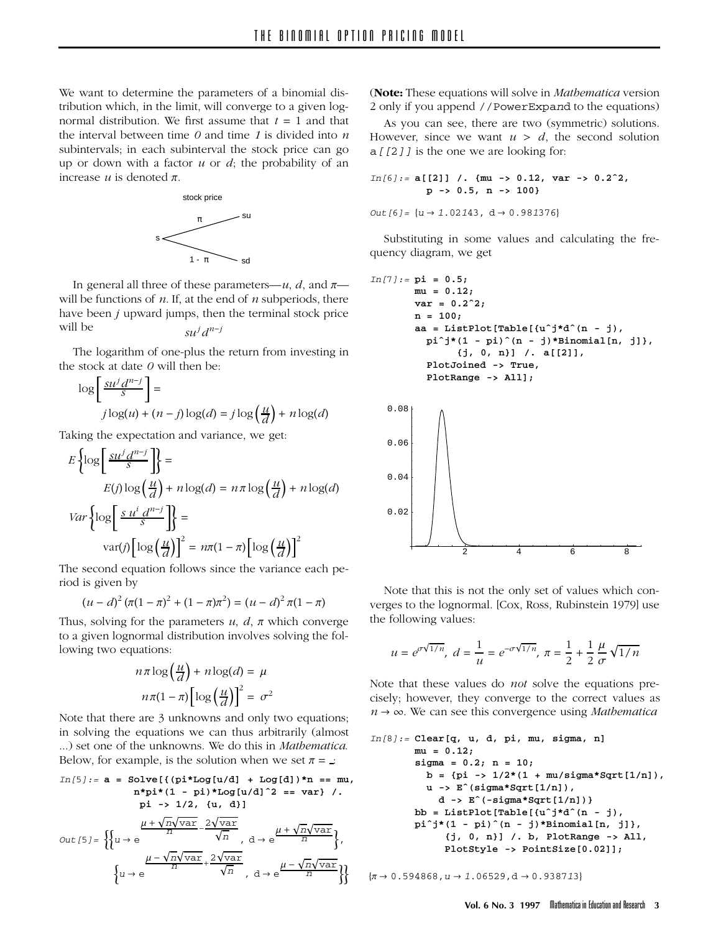We want to determine the parameters of a binomial distribution which, in the limit, will converge to a given lognormal distribution. We first assume that  $t = 1$  and that the interval between time *0* and time *1* is divided into *n* subintervals; in each subinterval the stock price can go up or down with a factor *u* or *d*; the probability of an increase  $u$  is denoted  $\pi$ .



In general all three of these parameters— $u$ , *d*, and  $\pi$  will be functions of *n*. If, at the end of *n* subperiods, there have been *j* upward jumps, then the terminal stock price will be  $su^j d^{n-j}$ 

The logarithm of one-plus the return from investing in the stock at date *0* will then be:

$$
\log \left[ \frac{su^j d^{n-j}}{s} \right] =
$$
  

$$
j \log(u) + (n-j) \log(d) = j \log \left( \frac{u}{d} \right) + n \log(d)
$$

Taking the expectation and variance, we get:

$$
E\left\{\log\left[\frac{su^j d^{n-j}}{s}\right]\right\} =
$$
  
\n
$$
E(j)\log\left(\frac{u}{d}\right) + n\log(d) = n\pi\log\left(\frac{u}{d}\right) + n\log(d)
$$
  
\n
$$
Var\left\{\log\left[\frac{s u^i d^{n-j}}{s}\right]\right\} =
$$
  
\n
$$
var(j)\left[\log\left(\frac{u}{d}\right)\right]^2 = n\pi(1-\pi)\left[\log\left(\frac{u}{d}\right)\right]^2
$$

The second equation follows since the variance each period is given by

$$
(u-d)^2 (\pi (1-\pi)^2 + (1-\pi)\pi^2) = (u-d)^2 \pi (1-\pi)
$$

Thus, solving for the parameters  $u$ ,  $d$ ,  $\pi$  which converge to a given lognormal distribution involves solving the following two equations:

$$
n\pi \log\left(\frac{u}{d}\right) + n\log(d) = \mu
$$

$$
n\pi(1-\pi)\left[\log\left(\frac{u}{d}\right)\right]^2 = \sigma^2
$$

Note that there are 3 unknowns and only two equations; in solving the equations we can thus arbitrarily (almost ...) set one of the unknowns. We do this in *Mathematica*. Below, for example, is the solution when we set  $\pi =$  :

$$
In[5]:=\mathbf{a} = Solve[\{(\pi^*Log[u/d] + Log[d])\}^n = mu,
$$
  
\n
$$
n^*pi^*(1 - pi)^*Log[u/d]^2 = var\} /.
$$
  
\n
$$
pi^*pi^*(1 - pi)^*Log[u/d]^2 = var\} /.
$$
  
\n
$$
pi \rightarrow 1/2, \{u, d\}]
$$
  
\n
$$
Out[5] = \left\{\left\{u \rightarrow e \frac{\mu + \sqrt{n}\sqrt{var}}{n}, \frac{2\sqrt{var}}{n}, d \rightarrow e \frac{\mu + \sqrt{n}\sqrt{var}}{n}\right\}, \frac{\mu - \sqrt{n}\sqrt{var}}{n} + \frac{2\sqrt{var}}{\sqrt{n}}, d \rightarrow e \frac{\mu - \sqrt{n}\sqrt{var}}{n}\right\}\right\}
$$

(**Note:** These equations will solve in *Mathematica* version 2 only if you append *//PowerExpand* to the equations)

As you can see, there are two (symmetric) solutions. However, since we want  $u > d$ , the second solution *a[[2]]* is the one we are looking for:

*In[6]:=* **a[[2]] /. {mu -> 0.12, var -> 0.2ˆ2, p -> 0.5, n -> 100}**  $Out[6] = \{u \rightarrow 1.02143, d \rightarrow 0.981376\}$ 

Substituting in some values and calculating the frequency diagram, we get

*In[7]:=* **pi = 0.5; mu = 0.12; var = 0.2ˆ2; n = 100; aa = ListPlot[Table[{uˆj\*dˆ(n - j), piˆj\*(1 - pi)ˆ(n - j)\*Binomial[n, j]}, {j, 0, n}] /. a[[2]], PlotJoined -> True, PlotRange -> All];**



Note that this is not the only set of values which converges to the lognormal. [Cox, Ross, Rubinstein 1979] use the following values:

$$
u = e^{\sigma \sqrt{1/n}}, d = \frac{1}{u} = e^{-\sigma \sqrt{1/n}}, \pi = \frac{1}{2} + \frac{1}{2} \frac{\mu}{\sigma} \sqrt{1/n}
$$

Note that these values do *not* solve the equations precisely; however, they converge to the correct values as  $n \rightarrow \infty$ . We can see this convergence using *Mathematica* 

```
In[8]:= Clear[q, u, d, pi, mu, sigma, n]
       mu = 0.12;
       sigma = 0.2; n = 10;
         b = {pi -> 1/2*(1 + mu/sigma*Sqrt[1/n]),
         u -> Eˆ(sigma*Sqrt[1/n]),
           d -> Eˆ(-sigma*Sqrt[1/n])}
       bb = ListPlot[Table[{uˆj*dˆ(n - j),
       piˆj*(1 - pi)ˆ(n - j)*Binomial[n, j]},
            {j, 0, n}] /. b, PlotRange -> All,
            PlotStyle -> PointSize[0.02]];
```
 $\{\pi \to 0.594868, u \to 1.06529, d \to 0.938713\}$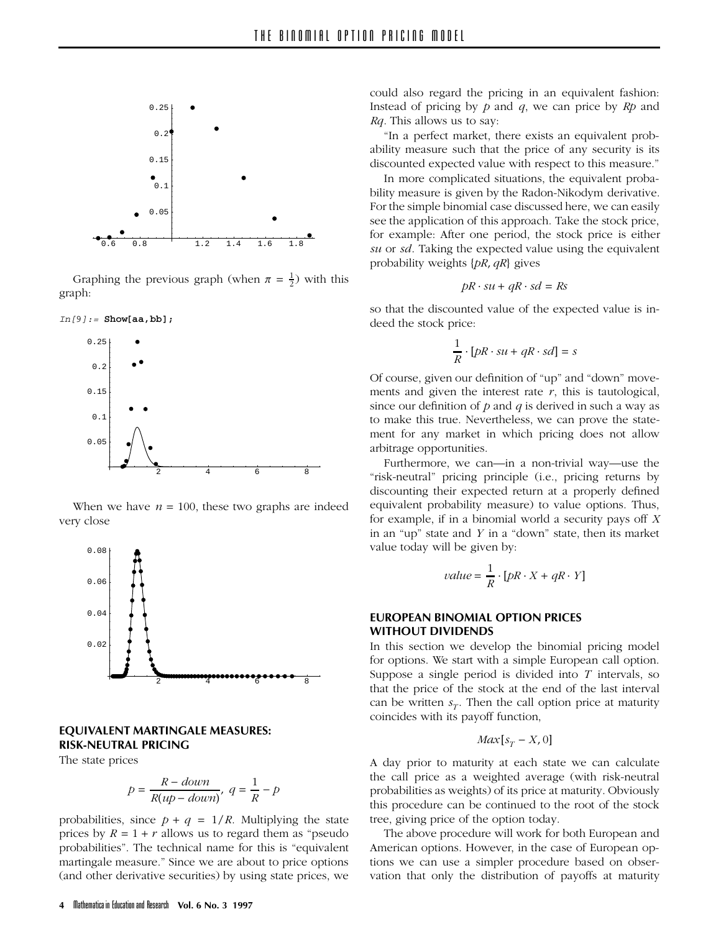

Graphing the previous graph (when  $\pi = \frac{1}{2}$ ) with this graph:





When we have  $n = 100$ , these two graphs are indeed very close



# **EQUIVALENT MARTINGALE MEASURES: RISK-NEUTRAL PRICING**

The state prices

$$
p = \frac{R - down}{R(up - down)}, q = \frac{1}{R} - p
$$

probabilities, since  $p + q = 1/R$ . Multiplying the state prices by  $R = 1 + r$  allows us to regard them as "pseudo probabilities". The technical name for this is "equivalent martingale measure." Since we are about to price options (and other derivative securities) by using state prices, we

"In a perfect market, there exists an equivalent probability measure such that the price of any security is its discounted expected value with respect to this measure."

In more complicated situations, the equivalent probability measure is given by the Radon-Nikodym derivative. For the simple binomial case discussed here, we can easily see the application of this approach. Take the stock price, for example: After one period, the stock price is either *su* or *sd*. Taking the expected value using the equivalent probability weights {*pR*, *qR*} gives

$$
pR \cdot su + qR \cdot sd = Rs
$$

so that the discounted value of the expected value is indeed the stock price:

$$
\frac{1}{R}\cdot [pR\cdot s u + qR\cdot sd] = s
$$

Of course, given our definition of "up" and "down" movements and given the interest rate *r*, this is tautological, since our definition of *p* and *q* is derived in such a way as to make this true. Nevertheless, we can prove the statement for any market in which pricing does not allow arbitrage opportunities.

Furthermore, we can—in a non-trivial way—use the "risk-neutral" pricing principle (i.e., pricing returns by discounting their expected return at a properly defined equivalent probability measure) to value options. Thus, for example, if in a binomial world a security pays off *X* in an "up" state and *Y* in a "down" state, then its market value today will be given by:

$$
value = \frac{1}{R} \cdot [pR \cdot X + qR \cdot Y]
$$

# **EUROPEAN BINOMIAL OPTION PRICES WITHOUT DIVIDENDS**

In this section we develop the binomial pricing model for options. We start with a simple European call option. Suppose a single period is divided into *T* intervals, so that the price of the stock at the end of the last interval can be written  $s_T$ . Then the call option price at maturity coincides with its payoff function,

$$
Max[s_T - X, 0]
$$

A day prior to maturity at each state we can calculate the call price as a weighted average (with risk-neutral probabilities as weights) of its price at maturity. Obviously this procedure can be continued to the root of the stock tree, giving price of the option today.

The above procedure will work for both European and American options. However, in the case of European options we can use a simpler procedure based on observation that only the distribution of payoffs at maturity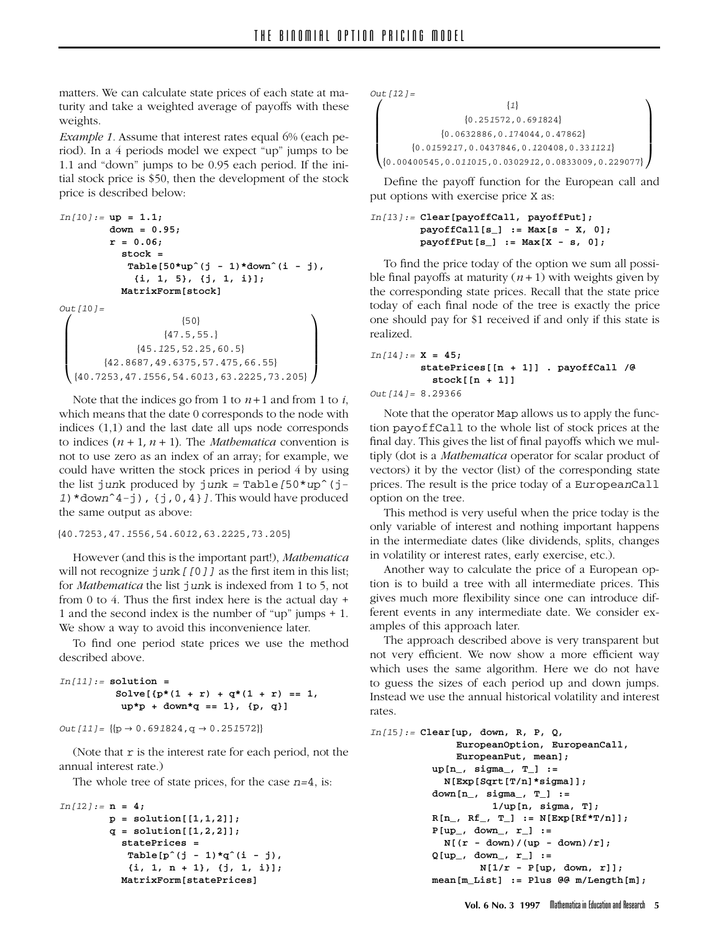matters. We can calculate state prices of each state at maturity and take a weighted average of payoffs with these weights.

*Example 1.* Assume that interest rates equal 6% (each period). In a 4 periods model we expect "up" jumps to be 1.1 and "down" jumps to be 0.95 each period. If the initial stock price is \$50, then the development of the stock price is described below:

```
In[10]:= up = 1.1;
         down = 0.95;
         r = 0.06;
           stock =
            Table[50*upˆ(j - 1)*downˆ(i - j),
              {i, 1, 5}, {j, 1, i}];
           MatrixForm[stock]
Out[10]=
 \sqrt{ }{50}
                                               λ
```

```
L
\mathbf{I}\mathbf{I}\mathbf{I}{47.5,55.}
                    {45.125,52.25,60.5}
           {42.8687,49.6375,57.475,66.55}
  {40.7253,47.1556,54.6013,63.2225,73.205}
                                                                       \mathbf{I}\mathbf{I}\overline{\phantom{a}}\mathsf{I}
```
Note that the indices go from 1 to  $n+1$  and from 1 to *i*, which means that the date 0 corresponds to the node with indices (1,1) and the last date all ups node corresponds to indices  $(n + 1, n + 1)$ . The *Mathematica* convention is not to use zero as an index of an array; for example, we could have written the stock prices in period 4 by using the list *junk* produced by *junk = Table[50\*upˆ(j-1)\*downˆ4-j), {j,0,4}]*. This would have produced the same output as above:

{*40.7253,47.1556,54.6012,63.2225,73.205*}

However (and this is the important part!), *Mathematica* will not recognize *junk* [[0]] as the first item in this list; for *Mathematica* the list *junk* is indexed from 1 to 5, not from 0 to 4. Thus the first index here is the actual day + 1 and the second index is the number of "up" jumps + 1. We show a way to avoid this inconvenience later.

To find one period state prices we use the method described above.

```
In[11]:= solution =
         Solve[{p*(1 + r) + q*(1 + r)] == 1}up*p + down*q == 1}, {p, q}]
```

```
Out[11] = \{ {p \rightarrow 0.691824, q \rightarrow 0.251572} }
```
(Note that *r* is the interest rate for each period, not the annual interest rate.)

The whole tree of state prices, for the case *n=4*, is:

```
In[12]:= n = 4;
        p = solution[[1,1,2]];
        q = solution[[1,2,2]];
          statePrices =
           Table[pˆ(j - 1)*qˆ(i - j),
            {i, 1, n + 1}, {j, 1, i}];
          MatrixForm[statePrices]
```

```
Out[12]=
 \sqrt{ }\mathsf{I}\mathbf{I}
{0.00400545,0.011015,0.0302912,0.0833009,0.229077}
                                      {1}
                          {0.251572,0.691824}
                   {0.0632886,0.174044,0.47862}
           {0.0159217,0.0437846,0.120408,0.331121}
                                                                              λ
                                                                              \overline{\phantom{a}}\mathbf{I}\overline{\phantom{a}}
```
Define the payoff function for the European call and put options with exercise price *X* as:

*In[13]:=* **Clear[payoffCall, payoffPut]; payoffCall[s\_] := Max[s - X, 0]; payoffPut[s\_] := Max[X - s, 0];**

To find the price today of the option we sum all possible final payoffs at maturity  $(n+1)$  with weights given by the corresponding state prices. Recall that the state price today of each final node of the tree is exactly the price one should pay for \$1 received if and only if this state is realized.

```
In[14]:= X = 45;
        statePrices[[n + 1]] . payoffCall /@
          stock[[n + 1]]
Out[14]= 8.29366
```
Note that the operator *Map* allows us to apply the function *payoffCall* to the whole list of stock prices at the final day. This gives the list of final payoffs which we multiply (dot is a *Mathematica* operator for scalar product of vectors) it by the vector (list) of the corresponding state prices. The result is the price today of a *EuropeanCall* option on the tree.

This method is very useful when the price today is the only variable of interest and nothing important happens in the intermediate dates (like dividends, splits, changes in volatility or interest rates, early exercise, etc.).

Another way to calculate the price of a European option is to build a tree with all intermediate prices. This gives much more flexibility since one can introduce different events in any intermediate date. We consider examples of this approach later.

The approach described above is very transparent but not very efficient. We now show a more efficient way which uses the same algorithm. Here we do not have to guess the sizes of each period up and down jumps. Instead we use the annual historical volatility and interest rates.

```
In[15]:= Clear[up, down, R, P, Q,
              EuropeanOption, EuropeanCall,
              EuropeanPut, mean];
          up[n_, sigma_, T_] :=
            N[Exp[Sqrt[T/n]*sigma]];
          down[n_, sigma_, T_] :=
                    1/up[n, sigma, T];
          R[n_, Rf_, T_] := N[Exp[Rf * T/n]];
          P[up_, down_, r_] :=
            N[(r - down)/(up - down)/r];
          Q[up_, down_, r_] :=
                  N[1/r - P[up, down, r]];
          mean[m_List] := Plus @@ m/Length[m];
```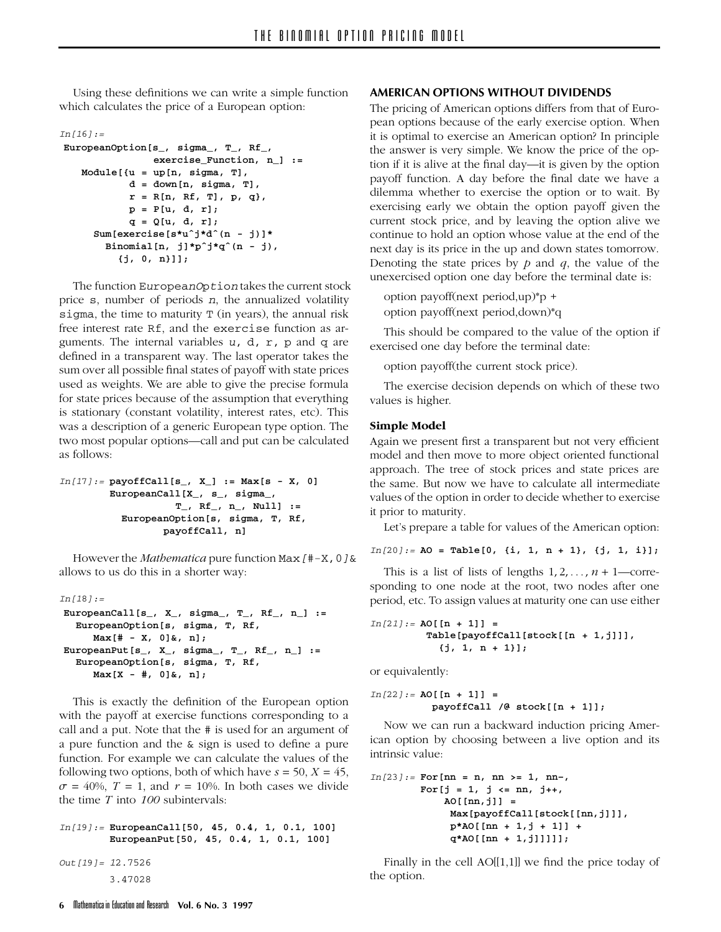Using these definitions we can write a simple function which calculates the price of a European option:

#### *In[16]:=*

```
EuropeanOption[s_, sigma_, T_, Rf_,
               exercise_Function, n_] :=
  Module[{u = up[n, sigma, T],
          d = down[n, sigma, T],
          r = R[n, Rf, T], p, q},
           p = P[u, d, r];
           q = Q[u, d, r];
    Sum[exercise[s*uˆj*dˆ(n - j)]*
       Binomial[n, j]*pˆj*qˆ(n - j),
         {j, 0, n}]];
```
The function *EuropeanOption* takes the current stock price *s*, number of periods *n*, the annualized volatility *sigma*, the time to maturity *T* (in years), the annual risk free interest rate *Rf*, and the *exercise* function as arguments. The internal variables *u, d, r, p* and *q* are defined in a transparent way. The last operator takes the sum over all possible final states of payoff with state prices used as weights. We are able to give the precise formula for state prices because of the assumption that everything is stationary (constant volatility, interest rates, etc). This was a description of a generic European type option. The two most popular options—call and put can be calculated as follows:

```
In[17]:= payoffCall[s_, X_] := Max[s - X, 0]
        EuropeanCall[X_, s_, sigma_,
                   T_, Rf_, n_, Null] :=
          EuropeanOption[s, sigma, T, Rf,
                 payoffCall, n]
```
However the *Mathematica* pure function *Max[#-X,0]&* allows to us do this in a shorter way:

```
In[18]:=
EuropeanCall[s_, X_, sigma_, T_, Rf_, n_] :=
  EuropeanOption[s, sigma, T, Rf,
     Max[# - X, 0]&, n];
EuropeanPut[s_, X_, sigma_, T_, Rf_, n_] :=
  EuropeanOption[s, sigma, T, Rf,
     Max[X - #, 0]&, n];
```
This is exactly the definition of the European option with the payoff at exercise functions corresponding to a call and a put. Note that the *#* is used for an argument of a pure function and the *&* sign is used to define a pure function. For example we can calculate the values of the following two options, both of which have  $s = 50$ ,  $X = 45$ ,  $\sigma = 40\%$ ,  $T = 1$ , and  $r = 10\%$ . In both cases we divide the time *T* into *100* subintervals:

```
In[19]:= EuropeanCall[50, 45, 0.4, 1, 0.1, 100]
        EuropeanPut[50, 45, 0.4, 1, 0.1, 100]
```
*Out[19]= 12.7526 3.47028*

#### **AMERICAN OPTIONS WITHOUT DIVIDENDS**

The pricing of American options differs from that of European options because of the early exercise option. When it is optimal to exercise an American option? In principle the answer is very simple. We know the price of the option if it is alive at the final day—it is given by the option payoff function. A day before the final date we have a dilemma whether to exercise the option or to wait. By exercising early we obtain the option payoff given the current stock price, and by leaving the option alive we continue to hold an option whose value at the end of the next day is its price in the up and down states tomorrow. Denoting the state prices by *p* and *q*, the value of the unexercised option one day before the terminal date is:

option payoff(next period,up)\*p + option payoff(next period,down)\*q

This should be compared to the value of the option if exercised one day before the terminal date:

option payoff(the current stock price).

The exercise decision depends on which of these two values is higher.

#### **Simple Model**

Again we present first a transparent but not very efficient model and then move to more object oriented functional approach. The tree of stock prices and state prices are the same. But now we have to calculate all intermediate values of the option in order to decide whether to exercise it prior to maturity.

Let's prepare a table for values of the American option:

```
In[20]:= AO = Table[0, {i, 1, n + 1}, {j, 1, i}];
```
This is a list of lists of lengths  $1, 2, \ldots, n + 1$ —corresponding to one node at the root, two nodes after one period, etc. To assign values at maturity one can use either

```
In[21]:= AO[[n + 1]] =
         Table[payoffCall[stock[[n + 1,j]]],
           {j, 1, n + 1}];
```
or equivalently:

```
In[22]:= AO[[n + 1]] =
          payoffCall /@ stock[[n + 1]];
```
Now we can run a backward induction pricing American option by choosing between a live option and its intrinsic value:

```
In[23]:= For[nn = n, nn >= 1, nn–,
        For[j = 1, j <= nn, j++,
            AO[[nn,j]] =
             Max[payoffCall[stock[[nn,j]]],
             p*AO[[nn + 1,j + 1]] +
             q*AO[[nn + 1,j]]]]];
```
Finally in the cell  $AO[[1,1]]$  we find the price today of the option.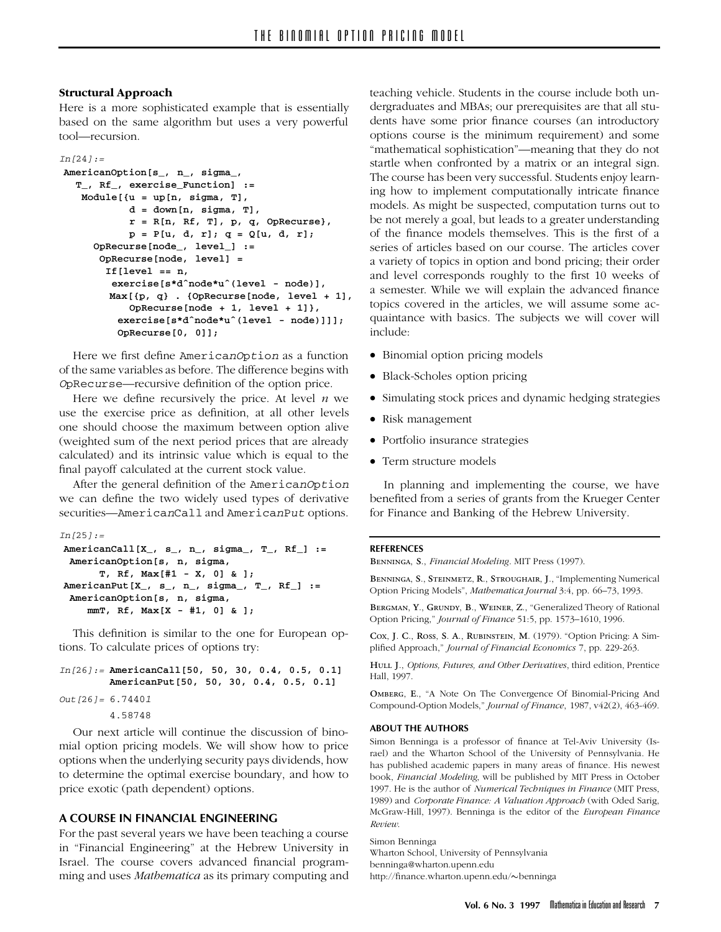### **Structural Approach**

Here is a more sophisticated example that is essentially based on the same algorithm but uses a very powerful tool—recursion.

```
In[24]:=
AmericanOption[s_, n_, sigma_,
  T_, Rf_, exercise_Function] :=
   Module[{u = up[n, sigma, T],
           d = down[n, sigma, T],
           r = R[n, Rf, T], p, q, OpRecurse},
           p = P[u, d, r]; q = Q[u, d, r];
     OpRecurse[node_, level_] :=
      OpRecurse[node, level] =
       If[level == n,
         exercise[s*dˆnode*uˆ(level - node)],
        Max[{p, q} . {OpRecurse[node, level + 1],
           OpRecurse[node + 1, level + 1]},
         exercise[s*dˆnode*uˆ(level - node)]]];
         OpRecurse[0, 0]];
```
Here we first define *AmericanOption* as a function of the same variables as before. The difference begins with *OpRecurse*—recursive definition of the option price.

Here we define recursively the price. At level *n* we use the exercise price as definition, at all other levels one should choose the maximum between option alive (weighted sum of the next period prices that are already calculated) and its intrinsic value which is equal to the final payoff calculated at the current stock value.

After the general definition of the *AmericanOption* we can define the two widely used types of derivative securities—*AmericanCall* and *AmericanPut* options.

```
In[25]:=
AmericanCall[X_, s_, n_, sigma_, T_, Rf_] :=
 AmericanOption[s, n, sigma,
      T, Rf, Max[#1 - X, 0] & ];
AmericanPut[X_, s_, n_, sigma_, T_, Rf_] :=
 AmericanOption[s, n, sigma,
    mmT, Rf, Max[X - #1, 0] & ];
```
This definition is similar to the one for European options. To calculate prices of options try:

```
In[26]:= AmericanCall[50, 50, 30, 0.4, 0.5, 0.1]
        AmericanPut[50, 50, 30, 0.4, 0.5, 0.1]
Out[26]= 6.74401
        4.58748
```
Our next article will continue the discussion of binomial option pricing models. We will show how to price options when the underlying security pays dividends, how to determine the optimal exercise boundary, and how to price exotic (path dependent) options.

### **A COURSE IN FINANCIAL ENGINEERING**

For the past several years we have been teaching a course in "Financial Engineering" at the Hebrew University in Israel. The course covers advanced financial programming and uses *Mathematica* as its primary computing and teaching vehicle. Students in the course include both undergraduates and MBAs; our prerequisites are that all students have some prior finance courses (an introductory options course is the minimum requirement) and some "mathematical sophistication"—meaning that they do not startle when confronted by a matrix or an integral sign. The course has been very successful. Students enjoy learning how to implement computationally intricate finance models. As might be suspected, computation turns out to be not merely a goal, but leads to a greater understanding of the finance models themselves. This is the first of a series of articles based on our course. The articles cover a variety of topics in option and bond pricing; their order and level corresponds roughly to the first 10 weeks of a semester. While we will explain the advanced finance topics covered in the articles, we will assume some acquaintance with basics. The subjects we will cover will include:

- Binomial option pricing models
- Black-Scholes option pricing
- Simulating stock prices and dynamic hedging strategies
- Risk management
- Portfolio insurance strategies
- Term structure models

In planning and implementing the course, we have benefited from a series of grants from the Krueger Center for Finance and Banking of the Hebrew University.

### **REFERENCES**

BENNINGA, S., *Financial Modeling*. MIT Press (1997).

BENNINGA, S., STEINMETZ, R., STROUGHAIR, J., "Implementing Numerical Option Pricing Models", *Mathematica Journal* 3:4, pp. 66–73, 1993.

BERGMAN, Y., GRUNDY, B., WEINER, Z., "Generalized Theory of Rational Option Pricing," *Journal of Finance* 51:5, pp. 1573–1610, 1996.

Cox, J. C., Ross, S. A., RUBINSTEIN, M. (1979). "Option Pricing: A Simplified Approach," *Journal of Financial Economics* 7, pp. 229-263.

 ., *Options, Futures, and Other Derivatives*, third edition, Prentice Hall, 1997.

OMBERG, E., "A Note On The Convergence Of Binomial-Pricing And Compound-Option Models," *Journal of Finance*, 1987, v42(2), 463-469.

#### **ABOUT THE AUTHORS**

Simon Benninga is a professor of finance at Tel-Aviv University (Israel) and the Wharton School of the University of Pennsylvania. He has published academic papers in many areas of finance. His newest book, *Financial Modeling*, will be published by MIT Press in October 1997. He is the author of *Numerical Techniques in Finance* (MIT Press, 1989) and *Corporate Finance: A Valuation Approach* (with Oded Sarig, McGraw-Hill, 1997). Benninga is the editor of the *European Finance Review*.

Simon Benninga Wharton School, University of Pennsylvania benninga@wharton.upenn.edu http://finance.wharton.upenn.edu/~benninga